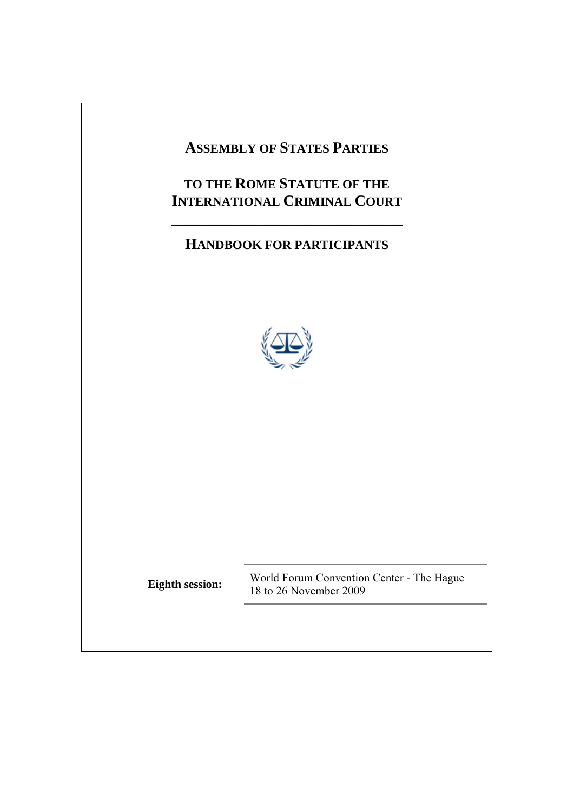# **ASSEMBLY OF STATES PARTIES TO THE ROME STATUTE OF THE INTERNATIONAL CRIMINAL COURT \_\_\_\_\_\_\_\_\_\_\_\_\_\_\_\_\_\_\_\_\_\_\_\_\_\_\_\_\_\_ HANDBOOK FOR PARTICIPANTS Eighth session:** World Forum Convention Center - The Hague 18 to 26 November 2009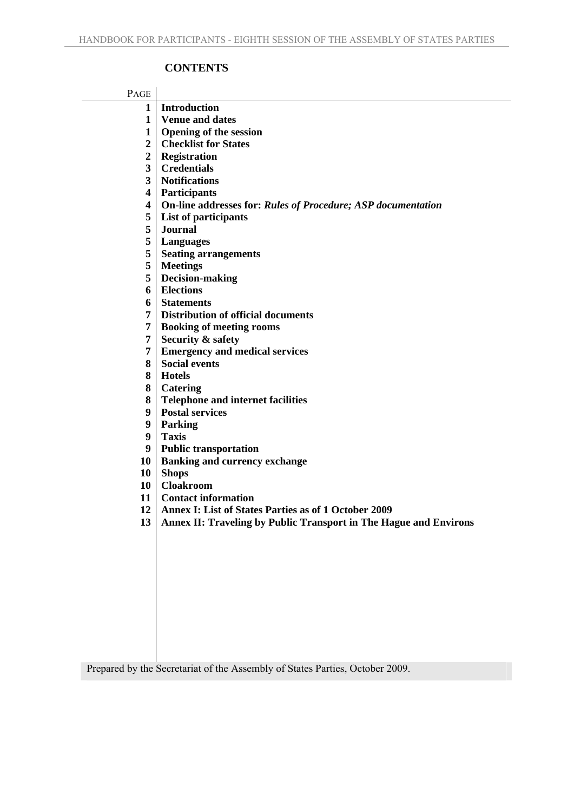# **CONTENTS**

| PAGE           |                                                                     |
|----------------|---------------------------------------------------------------------|
| 1              | <b>Introduction</b>                                                 |
| 1              | <b>Venue and dates</b>                                              |
| $\mathbf{1}$   | <b>Opening of the session</b>                                       |
| $\overline{2}$ | <b>Checklist for States</b>                                         |
| $\overline{2}$ | <b>Registration</b>                                                 |
| 3              | <b>Credentials</b>                                                  |
| 3              | <b>Notifications</b>                                                |
| 4              | <b>Participants</b>                                                 |
| 4              | <b>On-line addresses for: Rules of Procedure; ASP documentation</b> |
| 5              | List of participants                                                |
| 5              | <b>Journal</b>                                                      |
| 5              | Languages                                                           |
| 5              | <b>Seating arrangements</b>                                         |
| 5              | <b>Meetings</b>                                                     |
| 5              | Decision-making                                                     |
| 6              | <b>Elections</b>                                                    |
| 6              | <b>Statements</b>                                                   |
| 7              | <b>Distribution of official documents</b>                           |
| 7              | <b>Booking of meeting rooms</b>                                     |
| 7              | <b>Security &amp; safety</b>                                        |
| 7              | <b>Emergency and medical services</b>                               |
| 8              | <b>Social events</b>                                                |
| 8              | <b>Hotels</b>                                                       |
| 8              | Catering                                                            |
| 8              | <b>Telephone and internet facilities</b>                            |
| 9              | <b>Postal services</b>                                              |
| 9              | Parking                                                             |
| 9              | <b>Taxis</b>                                                        |
| 9              | <b>Public transportation</b>                                        |
| 10             | <b>Banking and currency exchange</b>                                |
| 10             | <b>Shops</b>                                                        |
| 10             | <b>Cloakroom</b>                                                    |
| 11             | <b>Contact information</b>                                          |
| 12             | Annex I: List of States Parties as of 1 October 2009                |
| 13             | Annex II: Traveling by Public Transport in The Hague and Environs   |
|                |                                                                     |
|                |                                                                     |
|                |                                                                     |
|                |                                                                     |
|                |                                                                     |
|                |                                                                     |
|                |                                                                     |
|                |                                                                     |
|                |                                                                     |
|                |                                                                     |

Prepared by the Secretariat of the Assembly of States Parties, October 2009.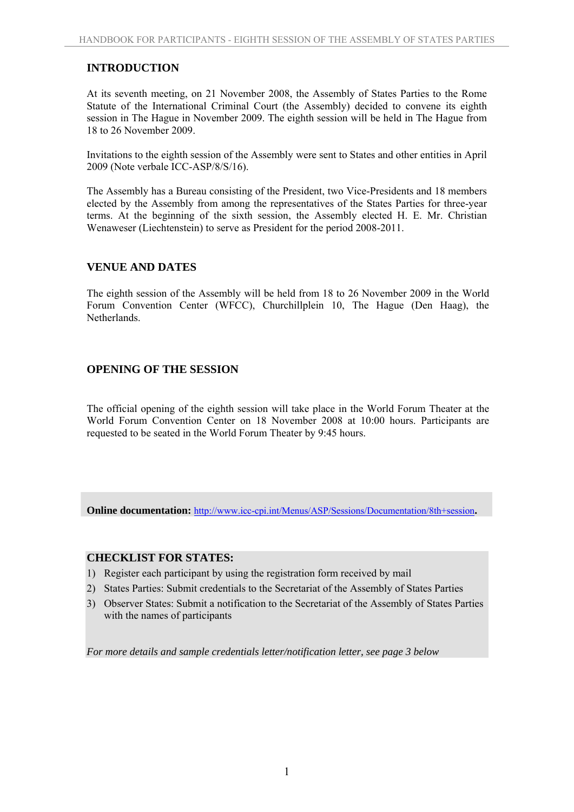# **INTRODUCTION**

At its seventh meeting, on 21 November 2008, the Assembly of States Parties to the Rome Statute of the International Criminal Court (the Assembly) decided to convene its eighth session in The Hague in November 2009. The eighth session will be held in The Hague from 18 to 26 November 2009.

Invitations to the eighth session of the Assembly were sent to States and other entities in April 2009 (Note verbale ICC-ASP/8/S/16).

The Assembly has a Bureau consisting of the President, two Vice-Presidents and 18 members elected by the Assembly from among the representatives of the States Parties for three-year terms. At the beginning of the sixth session, the Assembly elected H. E. Mr. Christian Wenaweser (Liechtenstein) to serve as President for the period 2008-2011.

# **VENUE AND DATES**

The eighth session of the Assembly will be held from 18 to 26 November 2009 in the World Forum Convention Center (WFCC), Churchillplein 10, The Hague (Den Haag), the Netherlands.

# **OPENING OF THE SESSION**

The official opening of the eighth session will take place in the World Forum Theater at the World Forum Convention Center on 18 November 2008 at 10:00 hours. Participants are requested to be seated in the World Forum Theater by 9:45 hours.

**Online documentation:** http://www.icc-cpi.int/Menus/ASP/Sessions/Documentation/8th+session**.** 

#### **CHECKLIST FOR STATES:**

- 1) Register each participant by using the registration form received by mail
- 2) States Parties: Submit credentials to the Secretariat of the Assembly of States Parties
- 3) Observer States: Submit a notification to the Secretariat of the Assembly of States Parties with the names of participants

*For more details and sample credentials letter/notification letter, see page 3 below*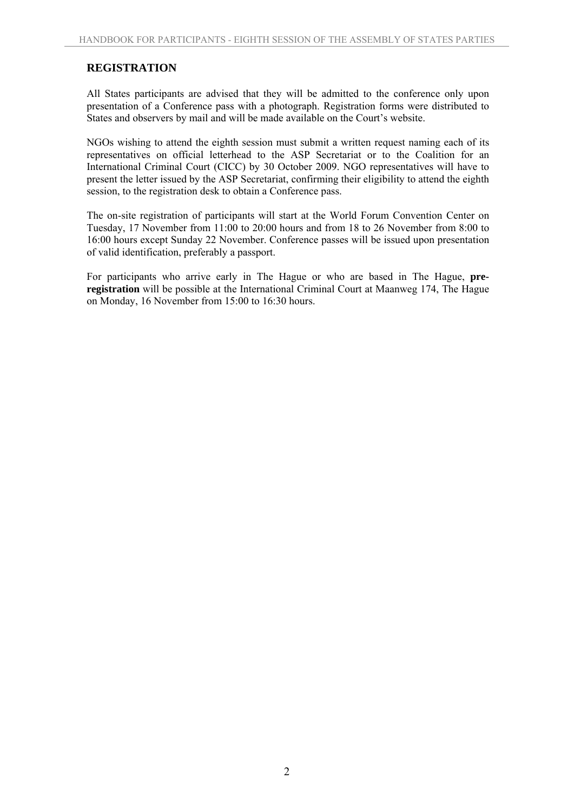# **REGISTRATION**

All States participants are advised that they will be admitted to the conference only upon presentation of a Conference pass with a photograph. Registration forms were distributed to States and observers by mail and will be made available on the Court's website.

NGOs wishing to attend the eighth session must submit a written request naming each of its representatives on official letterhead to the ASP Secretariat or to the Coalition for an International Criminal Court (CICC) by 30 October 2009. NGO representatives will have to present the letter issued by the ASP Secretariat, confirming their eligibility to attend the eighth session, to the registration desk to obtain a Conference pass.

The on-site registration of participants will start at the World Forum Convention Center on Tuesday, 17 November from 11:00 to 20:00 hours and from 18 to 26 November from 8:00 to 16:00 hours except Sunday 22 November. Conference passes will be issued upon presentation of valid identification, preferably a passport.

For participants who arrive early in The Hague or who are based in The Hague, **preregistration** will be possible at the International Criminal Court at Maanweg 174, The Hague on Monday, 16 November from 15:00 to 16:30 hours.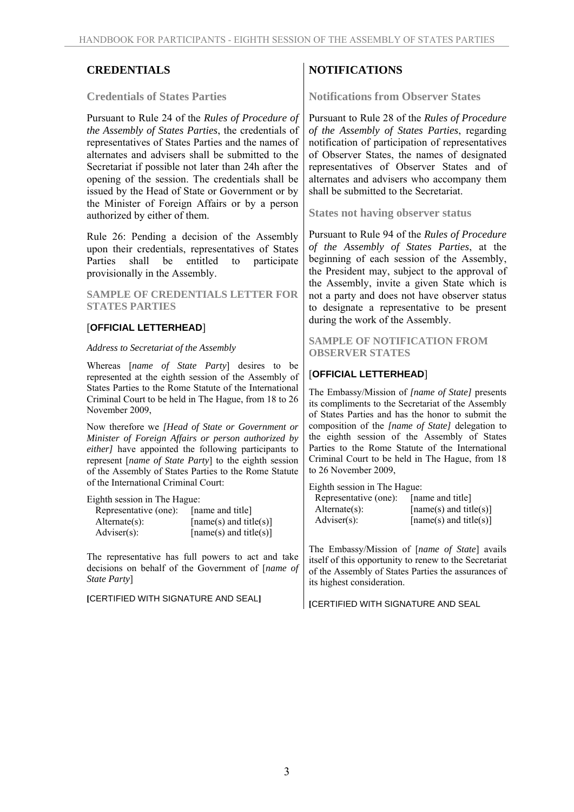#### **Credentials of States Parties**

Pursuant to Rule 24 of the *Rules of Procedure of the Assembly of States Parties*, the credentials of representatives of States Parties and the names of alternates and advisers shall be submitted to the Secretariat if possible not later than 24h after the opening of the session. The credentials shall be issued by the Head of State or Government or by the Minister of Foreign Affairs or by a person authorized by either of them.

Rule 26: Pending a decision of the Assembly upon their credentials, representatives of States Parties shall be entitled to participate provisionally in the Assembly.

#### **SAMPLE OF CREDENTIALS LETTER FOR STATES PARTIES**

# [**OFFICIAL LETTERHEAD**]

#### *Address to Secretariat of the Assembly*

Whereas [*name of State Party*] desires to be represented at the eighth session of the Assembly of States Parties to the Rome Statute of the International Criminal Court to be held in The Hague, from 18 to 26 November 2009,

Now therefore we *[Head of State or Government or Minister of Foreign Affairs or person authorized by either]* have appointed the following participants to represent [*name of State Party*] to the eighth session of the Assembly of States Parties to the Rome Statute of the International Criminal Court:

Eighth session in The Hague:

| Representative (one): | [name and title]       |
|-----------------------|------------------------|
| $Alternate(s)$ :      | [name(s) and title(s)] |
| Adviser $(s)$ :       | [name(s) and title(s)] |

The representative has full powers to act and take decisions on behalf of the Government of [*name of State Party*]

**[**CERTIFIED WITH SIGNATURE AND SEAL**]**

# **CREDENTIALS** NOTIFICATIONS

**Notifications from Observer States** 

Pursuant to Rule 28 of the *Rules of Procedure of the Assembly of States Parties*, regarding notification of participation of representatives of Observer States, the names of designated representatives of Observer States and of alternates and advisers who accompany them shall be submitted to the Secretariat.

**States not having observer status** 

Pursuant to Rule 94 of the *Rules of Procedure of the Assembly of States Parties*, at the beginning of each session of the Assembly, the President may, subject to the approval of the Assembly, invite a given State which is not a party and does not have observer status to designate a representative to be present during the work of the Assembly.

**SAMPLE OF NOTIFICATION FROM OBSERVER STATES** 

# [**OFFICIAL LETTERHEAD**]

The Embassy/Mission of *[name of State]* presents its compliments to the Secretariat of the Assembly of States Parties and has the honor to submit the composition of the *[name of State]* delegation to the eighth session of the Assembly of States Parties to the Rome Statute of the International Criminal Court to be held in The Hague, from 18 to 26 November 2009,

Eighth session in The Hague: Representative (one): [name and title] Alternate(s):  $[name(s) and title(s)]$  $Adviser(s):$  [name(s) and title(s)]

The Embassy/Mission of [*name of State*] avails itself of this opportunity to renew to the Secretariat of the Assembly of States Parties the assurances of its highest consideration.

**[**CERTIFIED WITH SIGNATURE AND SEAL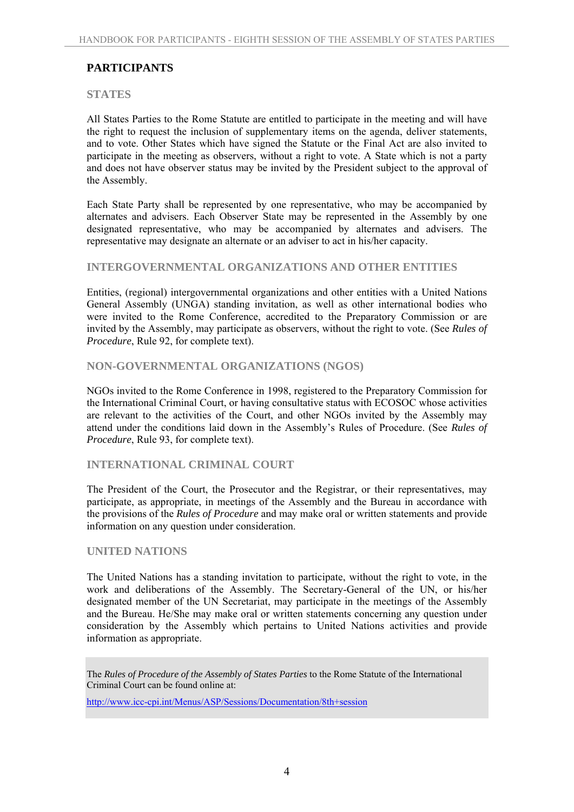# **PARTICIPANTS**

#### **STATES**

All States Parties to the Rome Statute are entitled to participate in the meeting and will have the right to request the inclusion of supplementary items on the agenda, deliver statements, and to vote. Other States which have signed the Statute or the Final Act are also invited to participate in the meeting as observers, without a right to vote. A State which is not a party and does not have observer status may be invited by the President subject to the approval of the Assembly.

Each State Party shall be represented by one representative, who may be accompanied by alternates and advisers. Each Observer State may be represented in the Assembly by one designated representative, who may be accompanied by alternates and advisers. The representative may designate an alternate or an adviser to act in his/her capacity.

#### **INTERGOVERNMENTAL ORGANIZATIONS AND OTHER ENTITIES**

Entities, (regional) intergovernmental organizations and other entities with a United Nations General Assembly (UNGA) standing invitation, as well as other international bodies who were invited to the Rome Conference, accredited to the Preparatory Commission or are invited by the Assembly, may participate as observers, without the right to vote. (See *Rules of Procedure*, Rule 92, for complete text).

# **NON-GOVERNMENTAL ORGANIZATIONS (NGOS)**

NGOs invited to the Rome Conference in 1998, registered to the Preparatory Commission for the International Criminal Court, or having consultative status with ECOSOC whose activities are relevant to the activities of the Court, and other NGOs invited by the Assembly may attend under the conditions laid down in the Assembly's Rules of Procedure. (See *Rules of Procedure*, Rule 93, for complete text).

# **INTERNATIONAL CRIMINAL COURT**

The President of the Court, the Prosecutor and the Registrar, or their representatives, may participate, as appropriate, in meetings of the Assembly and the Bureau in accordance with the provisions of the *Rules of Procedure* and may make oral or written statements and provide information on any question under consideration.

#### **UNITED NATIONS**

The United Nations has a standing invitation to participate, without the right to vote, in the work and deliberations of the Assembly. The Secretary-General of the UN, or his/her designated member of the UN Secretariat, may participate in the meetings of the Assembly and the Bureau. He/She may make oral or written statements concerning any question under consideration by the Assembly which pertains to United Nations activities and provide information as appropriate.

http://www.icc-cpi.int/Menus/ASP/Sessions/Documentation/8th+session

The *Rules of Procedure of the Assembly of States Parties* to the Rome Statute of the International Criminal Court can be found online at: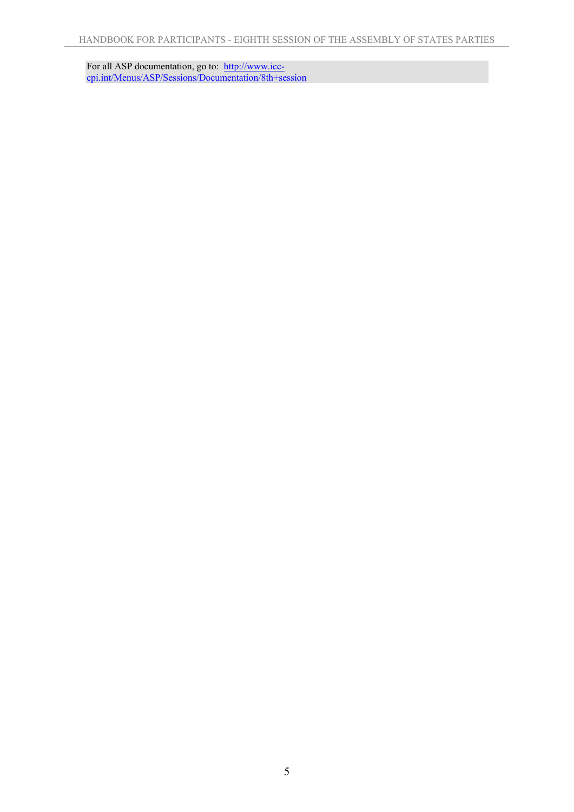For all ASP documentation, go to: http://www.icccpi.int/Menus/ASP/Sessions/Documentation/8th+session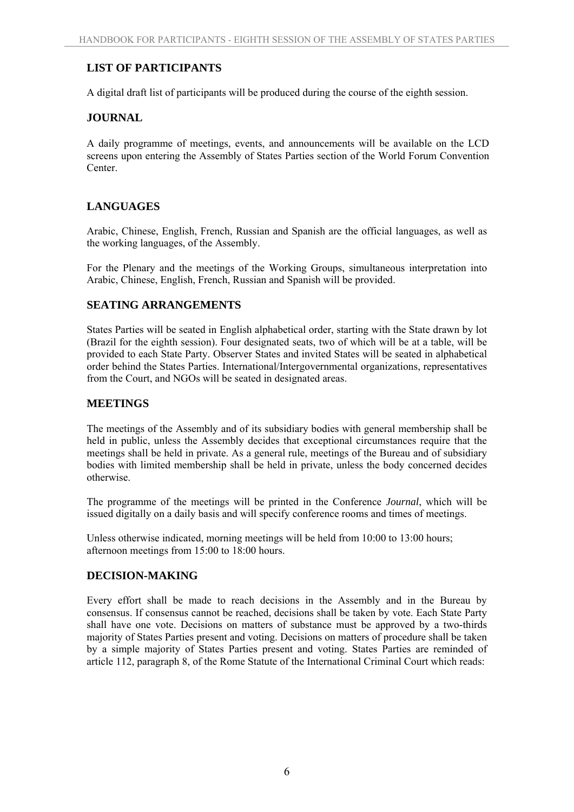# **LIST OF PARTICIPANTS**

A digital draft list of participants will be produced during the course of the eighth session.

# **JOURNAL**

A daily programme of meetings, events, and announcements will be available on the LCD screens upon entering the Assembly of States Parties section of the World Forum Convention Center.

# **LANGUAGES**

Arabic, Chinese, English, French, Russian and Spanish are the official languages, as well as the working languages, of the Assembly.

For the Plenary and the meetings of the Working Groups, simultaneous interpretation into Arabic, Chinese, English, French, Russian and Spanish will be provided.

# **SEATING ARRANGEMENTS**

States Parties will be seated in English alphabetical order, starting with the State drawn by lot (Brazil for the eighth session). Four designated seats, two of which will be at a table, will be provided to each State Party. Observer States and invited States will be seated in alphabetical order behind the States Parties. International/Intergovernmental organizations, representatives from the Court, and NGOs will be seated in designated areas.

# **MEETINGS**

The meetings of the Assembly and of its subsidiary bodies with general membership shall be held in public, unless the Assembly decides that exceptional circumstances require that the meetings shall be held in private. As a general rule, meetings of the Bureau and of subsidiary bodies with limited membership shall be held in private, unless the body concerned decides otherwise.

The programme of the meetings will be printed in the Conference *Journal*, which will be issued digitally on a daily basis and will specify conference rooms and times of meetings.

Unless otherwise indicated, morning meetings will be held from 10:00 to 13:00 hours; afternoon meetings from 15:00 to 18:00 hours.

# **DECISION-MAKING**

Every effort shall be made to reach decisions in the Assembly and in the Bureau by consensus. If consensus cannot be reached, decisions shall be taken by vote. Each State Party shall have one vote. Decisions on matters of substance must be approved by a two-thirds majority of States Parties present and voting. Decisions on matters of procedure shall be taken by a simple majority of States Parties present and voting. States Parties are reminded of article 112, paragraph 8, of the Rome Statute of the International Criminal Court which reads: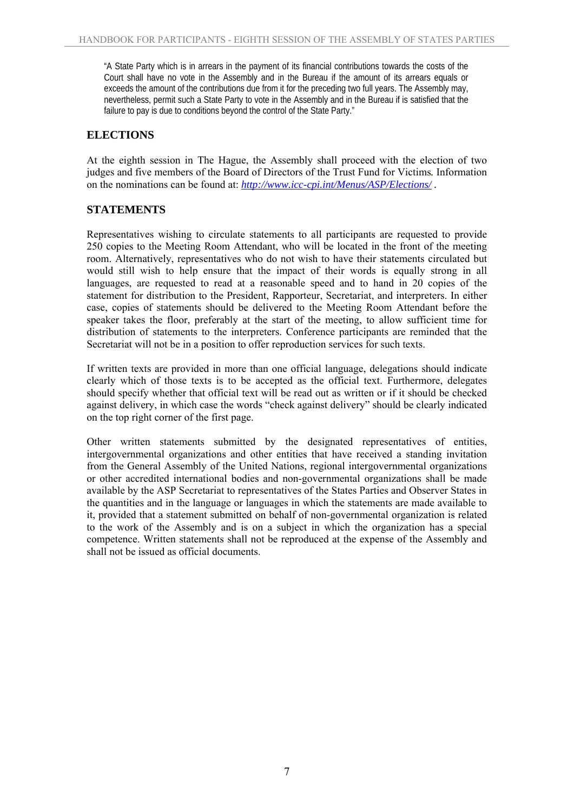"A State Party which is in arrears in the payment of its financial contributions towards the costs of the Court shall have no vote in the Assembly and in the Bureau if the amount of its arrears equals or exceeds the amount of the contributions due from it for the preceding two full years. The Assembly may, nevertheless, permit such a State Party to vote in the Assembly and in the Bureau if is satisfied that the failure to pay is due to conditions beyond the control of the State Party."

# **ELECTIONS**

At the eighth session in The Hague, the Assembly shall proceed with the election of two judges and five members of the Board of Directors of the Trust Fund for Victims*.* Information on the nominations can be found at: *http://www.icc-cpi.int/Menus/ASP/Elections/ .* 

# **STATEMENTS**

Representatives wishing to circulate statements to all participants are requested to provide 250 copies to the Meeting Room Attendant, who will be located in the front of the meeting room. Alternatively, representatives who do not wish to have their statements circulated but would still wish to help ensure that the impact of their words is equally strong in all languages, are requested to read at a reasonable speed and to hand in 20 copies of the statement for distribution to the President, Rapporteur, Secretariat, and interpreters. In either case, copies of statements should be delivered to the Meeting Room Attendant before the speaker takes the floor, preferably at the start of the meeting, to allow sufficient time for distribution of statements to the interpreters. Conference participants are reminded that the Secretariat will not be in a position to offer reproduction services for such texts.

If written texts are provided in more than one official language, delegations should indicate clearly which of those texts is to be accepted as the official text. Furthermore, delegates should specify whether that official text will be read out as written or if it should be checked against delivery, in which case the words "check against delivery" should be clearly indicated on the top right corner of the first page.

Other written statements submitted by the designated representatives of entities, intergovernmental organizations and other entities that have received a standing invitation from the General Assembly of the United Nations, regional intergovernmental organizations or other accredited international bodies and non-governmental organizations shall be made available by the ASP Secretariat to representatives of the States Parties and Observer States in the quantities and in the language or languages in which the statements are made available to it, provided that a statement submitted on behalf of non-governmental organization is related to the work of the Assembly and is on a subject in which the organization has a special competence. Written statements shall not be reproduced at the expense of the Assembly and shall not be issued as official documents.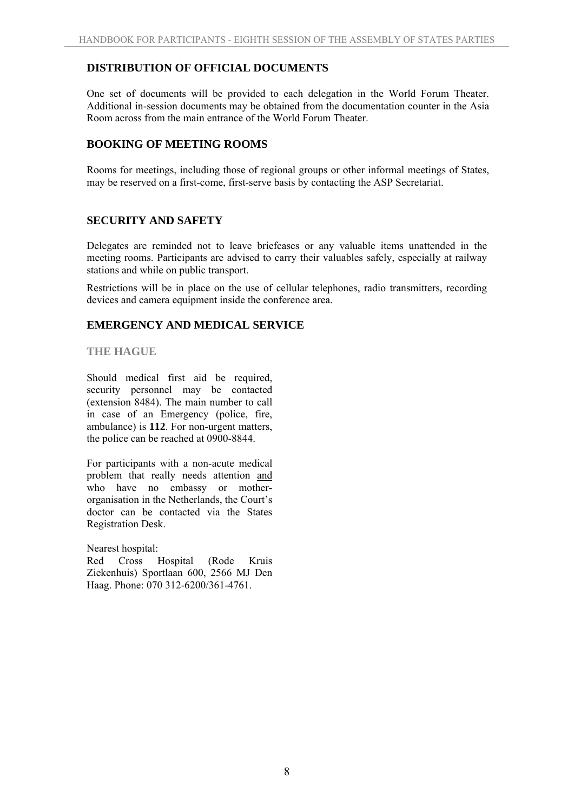# **DISTRIBUTION OF OFFICIAL DOCUMENTS**

One set of documents will be provided to each delegation in the World Forum Theater. Additional in-session documents may be obtained from the documentation counter in the Asia Room across from the main entrance of the World Forum Theater.

# **BOOKING OF MEETING ROOMS**

Rooms for meetings, including those of regional groups or other informal meetings of States, may be reserved on a first-come, first-serve basis by contacting the ASP Secretariat.

# **SECURITY AND SAFETY**

Delegates are reminded not to leave briefcases or any valuable items unattended in the meeting rooms. Participants are advised to carry their valuables safely, especially at railway stations and while on public transport.

Restrictions will be in place on the use of cellular telephones, radio transmitters, recording devices and camera equipment inside the conference area.

# **EMERGENCY AND MEDICAL SERVICE**

# **THE HAGUE**

Should medical first aid be required, security personnel may be contacted (extension 8484). The main number to call in case of an Emergency (police, fire, ambulance) is **112**. For non-urgent matters, the police can be reached at 0900-8844.

For participants with a non-acute medical problem that really needs attention and who have no embassy or motherorganisation in the Netherlands, the Court's doctor can be contacted via the States Registration Desk.

Nearest hospital:

Red Cross Hospital (Rode Kruis Ziekenhuis) Sportlaan 600, 2566 MJ Den Haag. Phone: 070 312-6200/361-4761.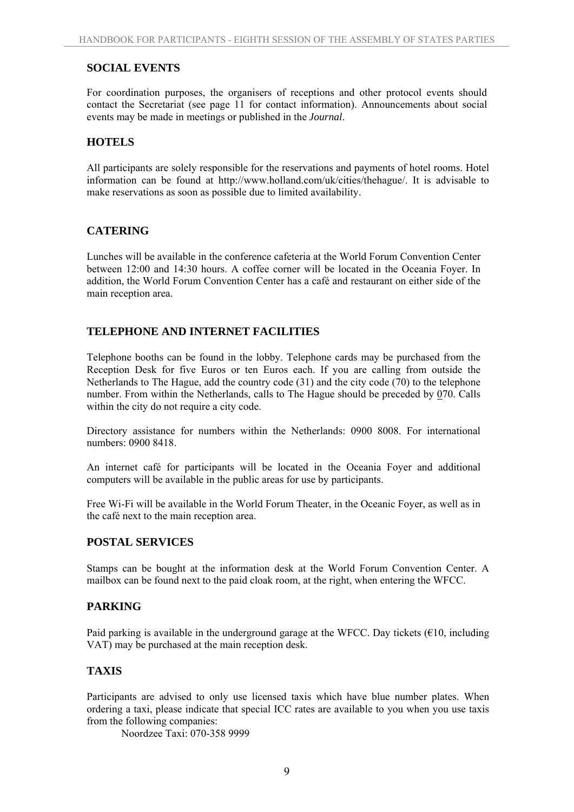# **SOCIAL EVENTS**

For coordination purposes, the organisers of receptions and other protocol events should contact the Secretariat (see page 11 for contact information). Announcements about social events may be made in meetings or published in the *Journal*.

# **HOTELS**

All participants are solely responsible for the reservations and payments of hotel rooms. Hotel information can be found at http://www.holland.com/uk/cities/thehague/. It is advisable to make reservations as soon as possible due to limited availability.

# **CATERING**

Lunches will be available in the conference cafeteria at the World Forum Convention Center between 12:00 and 14:30 hours. A coffee corner will be located in the Oceania Foyer. In addition, the World Forum Convention Center has a café and restaurant on either side of the main reception area.

# **TELEPHONE AND INTERNET FACILITIES**

Telephone booths can be found in the lobby. Telephone cards may be purchased from the Reception Desk for five Euros or ten Euros each. If you are calling from outside the Netherlands to The Hague, add the country code (31) and the city code (70) to the telephone number. From within the Netherlands, calls to The Hague should be preceded by 070. Calls within the city do not require a city code.

Directory assistance for numbers within the Netherlands: 0900 8008. For international numbers: 0900 8418.

An internet café for participants will be located in the Oceania Foyer and additional computers will be available in the public areas for use by participants.

Free Wi-Fi will be available in the World Forum Theater, in the Oceanic Foyer, as well as in the café next to the main reception area.

#### **POSTAL SERVICES**

Stamps can be bought at the information desk at the World Forum Convention Center. A mailbox can be found next to the paid cloak room, at the right, when entering the WFCC.

#### **PARKING**

Paid parking is available in the underground garage at the WFCC. Day tickets ( $€10$ , including VAT) may be purchased at the main reception desk.

#### **TAXIS**

Participants are advised to only use licensed taxis which have blue number plates. When ordering a taxi, please indicate that special ICC rates are available to you when you use taxis from the following companies:

Noordzee Taxi: 070-358 9999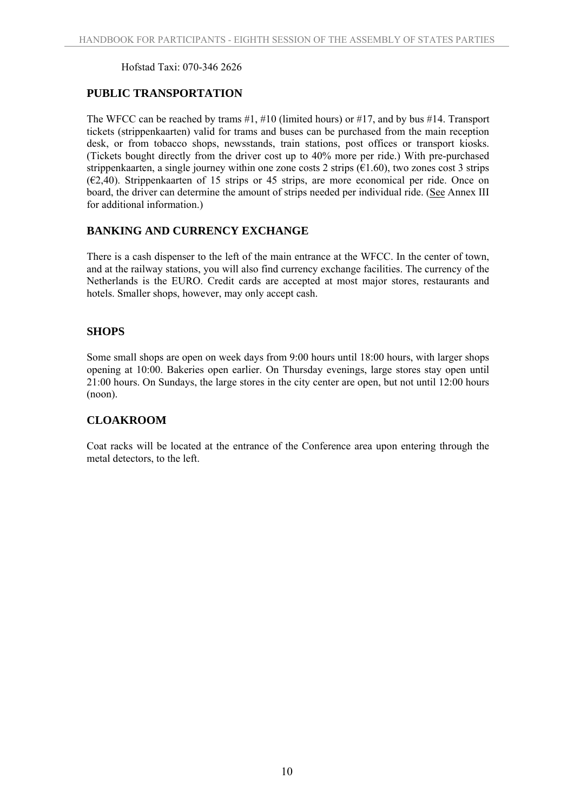#### Hofstad Taxi: 070-346 2626

# **PUBLIC TRANSPORTATION**

The WFCC can be reached by trams #1, #10 (limited hours) or #17, and by bus #14. Transport tickets (strippenkaarten) valid for trams and buses can be purchased from the main reception desk, or from tobacco shops, newsstands, train stations, post offices or transport kiosks. (Tickets bought directly from the driver cost up to 40% more per ride.) With pre-purchased strippenkaarten, a single journey within one zone costs 2 strips (€1.60), two zones cost 3 strips  $(62, 40)$ . Strippenkaarten of 15 strips or 45 strips, are more economical per ride. Once on board, the driver can determine the amount of strips needed per individual ride. (See Annex III for additional information.)

# **BANKING AND CURRENCY EXCHANGE**

There is a cash dispenser to the left of the main entrance at the WFCC. In the center of town, and at the railway stations, you will also find currency exchange facilities. The currency of the Netherlands is the EURO. Credit cards are accepted at most major stores, restaurants and hotels. Smaller shops, however, may only accept cash.

# **SHOPS**

Some small shops are open on week days from 9:00 hours until 18:00 hours, with larger shops opening at 10:00. Bakeries open earlier. On Thursday evenings, large stores stay open until 21:00 hours. On Sundays, the large stores in the city center are open, but not until 12:00 hours (noon).

# **CLOAKROOM**

Coat racks will be located at the entrance of the Conference area upon entering through the metal detectors, to the left.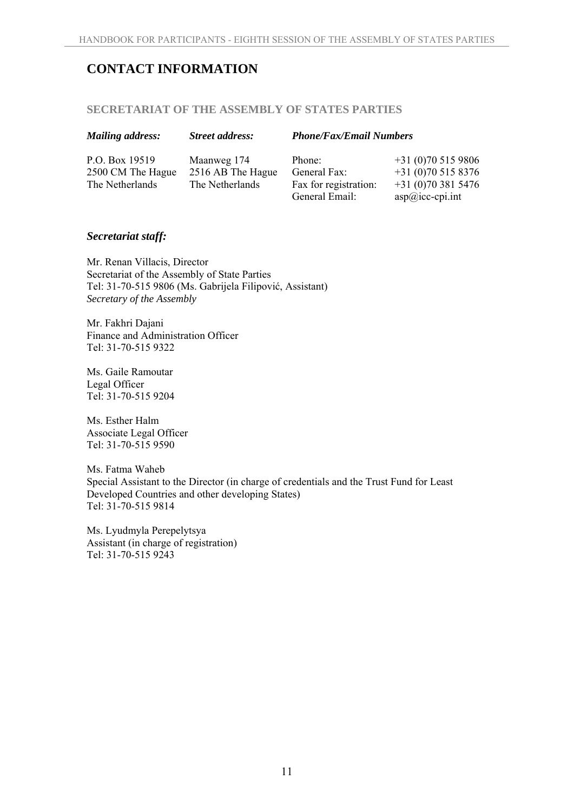# **CONTACT INFORMATION**

# **SECRETARIAT OF THE ASSEMBLY OF STATES PARTIES**

| <b>Mailing address:</b> | <b>Street address:</b> | <b>Phone/Fax/Email Numbers</b> |                   |
|-------------------------|------------------------|--------------------------------|-------------------|
| P.O. Box 19519          | Maanweg 174            | Phone:                         | $+31(0)705159806$ |
| 2500 CM The Hague       | 2516 AB The Hague      | General Fax:                   | $+31(0)705158376$ |
| The Netherlands         | The Netherlands        | Fax for registration:          | $+31(0)703815476$ |
|                         |                        | General Email:                 | $asp@icc-cpi.int$ |

# *Secretariat staff:*

Mr. Renan Villacis, Director Secretariat of the Assembly of State Parties Tel: 31-70-515 9806 (Ms. Gabrijela Filipović, Assistant) *Secretary of the Assembly* 

Mr. Fakhri Dajani Finance and Administration Officer Tel: 31-70-515 9322

Ms. Gaile Ramoutar Legal Officer Tel: 31-70-515 9204

Ms. Esther Halm Associate Legal Officer Tel: 31-70-515 9590

Ms. Fatma Waheb Special Assistant to the Director (in charge of credentials and the Trust Fund for Least Developed Countries and other developing States) Tel: 31-70-515 9814

Ms. Lyudmyla Perepelytsya Assistant (in charge of registration) Tel: 31-70-515 9243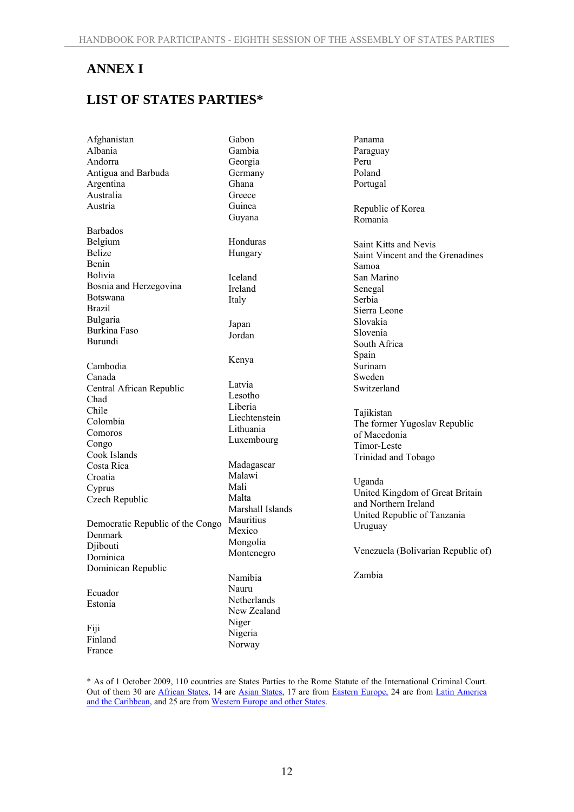# **ANNEX I**

# **LIST OF STATES PARTIES\***

Afghanistan Albania Andorra Antigua and Barbuda Argentina Australia Austria Barbados Belgium Belize Benin Bolivia Bosnia and Herzegovina Botswana Brazil Bulgaria Burkina Faso Burundi Cambodia Canada Central African Republic Chad Chile Colombia Comoros Congo Cook Islands Costa Rica Croatia Cyprus Czech Republic Democratic Republic of the Congo Denmark Diibouti Dominica Dominican Republic Ecuador Estonia Fiji Finland France Gabon Gambia Georgia Germany Ghana **Greece** Guinea Guyana Honduras Hungary Iceland Ireland Italy Japan Jordan Kenya Latvia Lesotho Liberia Lithuania Malawi Mali Malta Mauritius Mexico Mongolia Namibia Nauru Niger Nigeria Norway

Liechtenstein Luxembourg Madagascar Marshall Islands Montenegro Netherlands New Zealand

Panama Paraguay Peru Poland Portugal Republic of Korea Romania Saint Kitts and Nevis Saint Vincent and the Grenadines Samoa San Marino Senegal Serbia Sierra Leone Slovakia Slovenia South Africa Spain Surinam Sweden Switzerland Tajikistan The former Yugoslav Republic of Macedonia Timor-Leste Trinidad and Tobago

Uganda United Kingdom of Great Britain and Northern Ireland United Republic of Tanzania Uruguay

Venezuela (Bolivarian Republic of)

Zambia

\* As of 1 October 2009, 110 countries are States Parties to the Rome Statute of the International Criminal Court. Out of them 30 are African States, 14 are Asian States, 17 are from Eastern Europe, 24 are from Latin America and the Caribbean, and 25 are from Western Europe and other States.